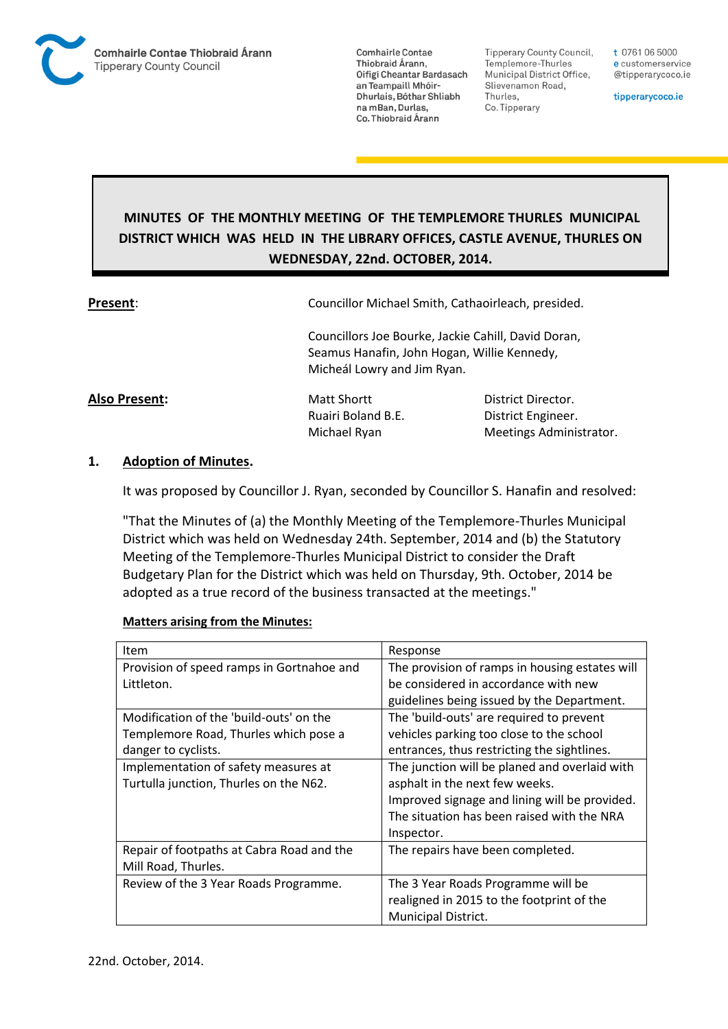

**Tipperary County Council,** Templemore-Thurles Municipal District Office, Slievenamon Road, Thurles, Co. Tipperary

t 0761 06 5000 e customerservice @tipperarycoco.ie

tipperarycoco.ie

# **MINUTES OF THE MONTHLY MEETING OF THE TEMPLEMORE THURLES MUNICIPAL DISTRICT WHICH WAS HELD IN THE LIBRARY OFFICES, CASTLE AVENUE, THURLES ON WEDNESDAY, 22nd. OCTOBER, 2014.**

**Present**: Councillor Michael Smith, Cathaoirleach, presided.

Councillors Joe Bourke, Jackie Cahill, David Doran, Seamus Hanafin, John Hogan, Willie Kennedy, Micheál Lowry and Jim Ryan.

**Also Present:** Matt Shortt Director. Ruairi Boland B.E. District Engineer. Michael Ryan Meetings Administrator.

## **1. Adoption of Minutes.**

It was proposed by Councillor J. Ryan, seconded by Councillor S. Hanafin and resolved:

"That the Minutes of (a) the Monthly Meeting of the Templemore-Thurles Municipal District which was held on Wednesday 24th. September, 2014 and (b) the Statutory Meeting of the Templemore-Thurles Municipal District to consider the Draft Budgetary Plan for the District which was held on Thursday, 9th. October, 2014 be adopted as a true record of the business transacted at the meetings."

### **Matters arising from the Minutes:**

| Item                                      | Response                                       |
|-------------------------------------------|------------------------------------------------|
| Provision of speed ramps in Gortnahoe and | The provision of ramps in housing estates will |
| Littleton.                                | be considered in accordance with new           |
|                                           | guidelines being issued by the Department.     |
| Modification of the 'build-outs' on the   | The 'build-outs' are required to prevent       |
| Templemore Road, Thurles which pose a     | vehicles parking too close to the school       |
| danger to cyclists.                       | entrances, thus restricting the sightlines.    |
| Implementation of safety measures at      | The junction will be planed and overlaid with  |
| Turtulla junction, Thurles on the N62.    | asphalt in the next few weeks.                 |
|                                           | Improved signage and lining will be provided.  |
|                                           | The situation has been raised with the NRA     |
|                                           | Inspector.                                     |
| Repair of footpaths at Cabra Road and the | The repairs have been completed.               |
| Mill Road, Thurles.                       |                                                |
| Review of the 3 Year Roads Programme.     | The 3 Year Roads Programme will be             |
|                                           | realigned in 2015 to the footprint of the      |
|                                           | <b>Municipal District.</b>                     |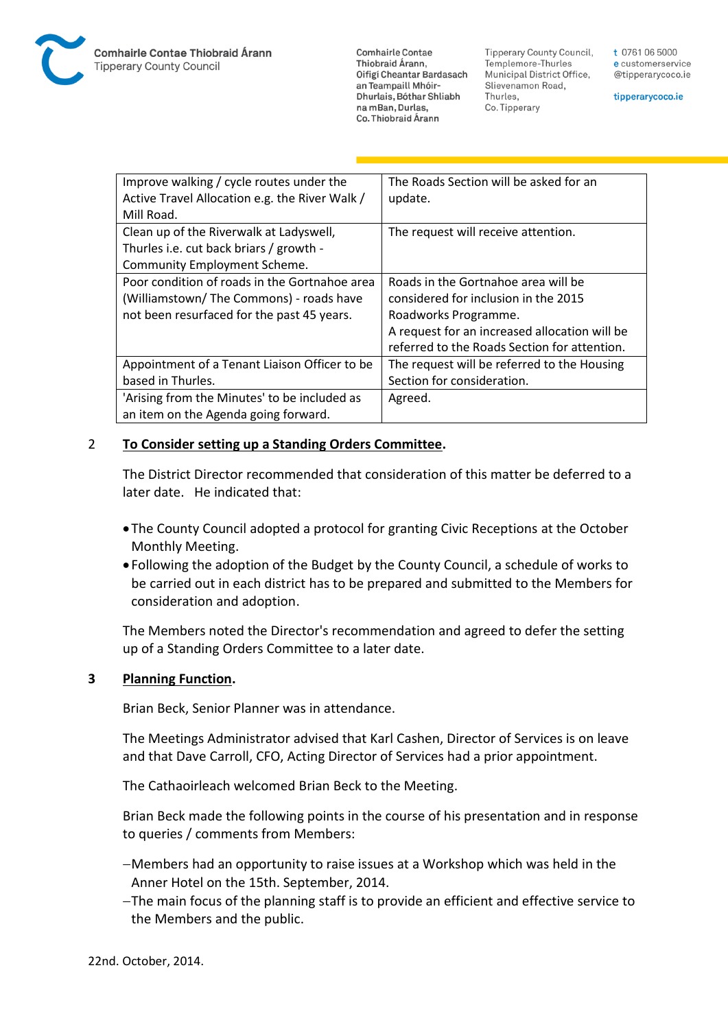**Tipperary County Council,** Templemore-Thurles Municipal District Office, Slievenamon Road, Thurles, Co. Tipperary

t 0761 06 5000 e customerservice @tipperarycoco.ie

tipperarycoco.ie

| Improve walking / cycle routes under the       | The Roads Section will be asked for an        |
|------------------------------------------------|-----------------------------------------------|
| Active Travel Allocation e.g. the River Walk / | update.                                       |
| Mill Road.                                     |                                               |
| Clean up of the Riverwalk at Ladyswell,        | The request will receive attention.           |
| Thurles i.e. cut back briars / growth -        |                                               |
| Community Employment Scheme.                   |                                               |
| Poor condition of roads in the Gortnahoe area  | Roads in the Gortnahoe area will be           |
| (Williamstown/The Commons) - roads have        | considered for inclusion in the 2015          |
| not been resurfaced for the past 45 years.     | Roadworks Programme.                          |
|                                                | A request for an increased allocation will be |
|                                                | referred to the Roads Section for attention.  |
| Appointment of a Tenant Liaison Officer to be  | The request will be referred to the Housing   |
| based in Thurles.                              | Section for consideration.                    |
| 'Arising from the Minutes' to be included as   | Agreed.                                       |
| an item on the Agenda going forward.           |                                               |

### 2 **To Consider setting up a Standing Orders Committee.**

The District Director recommended that consideration of this matter be deferred to a later date. He indicated that:

- The County Council adopted a protocol for granting Civic Receptions at the October Monthly Meeting.
- Following the adoption of the Budget by the County Council, a schedule of works to be carried out in each district has to be prepared and submitted to the Members for consideration and adoption.

The Members noted the Director's recommendation and agreed to defer the setting up of a Standing Orders Committee to a later date.

### **3 Planning Function.**

Brian Beck, Senior Planner was in attendance.

The Meetings Administrator advised that Karl Cashen, Director of Services is on leave and that Dave Carroll, CFO, Acting Director of Services had a prior appointment.

The Cathaoirleach welcomed Brian Beck to the Meeting.

Brian Beck made the following points in the course of his presentation and in response to queries / comments from Members:

- Members had an opportunity to raise issues at a Workshop which was held in the Anner Hotel on the 15th. September, 2014.
- The main focus of the planning staff is to provide an efficient and effective service to the Members and the public.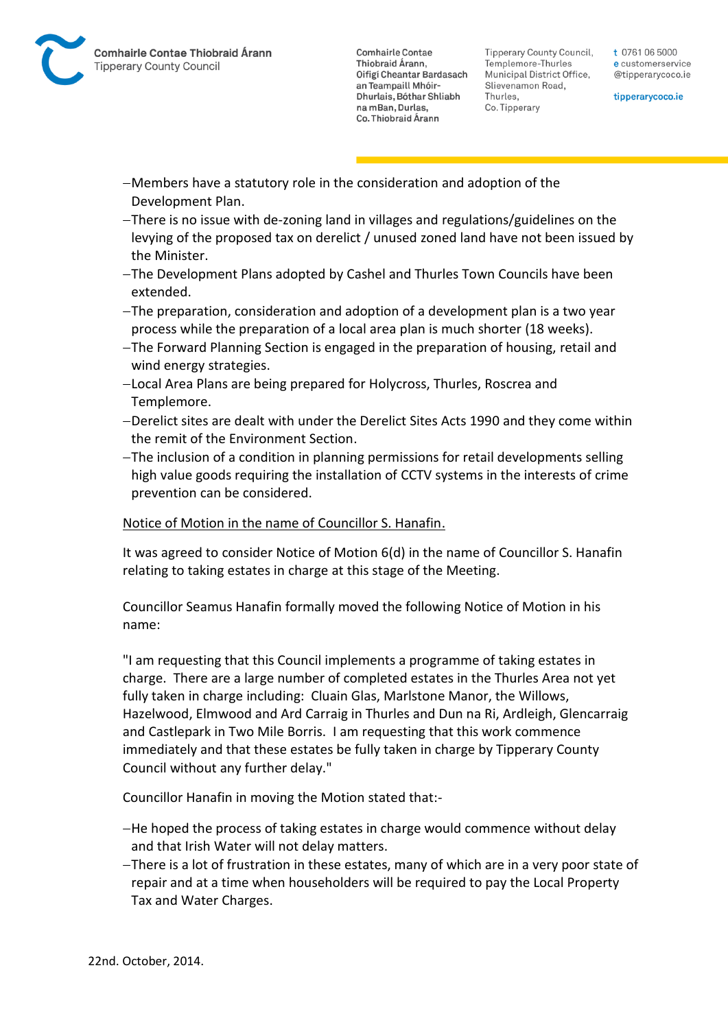Tipperary County Council. Templemore-Thurles Municipal District Office, Slievenamon Road, Thurles, Co. Tipperary

t 0761 06 5000 e customerservice @tipperarycoco.ie

tipperarycoco.ie

- Members have a statutory role in the consideration and adoption of the Development Plan.
- There is no issue with de-zoning land in villages and regulations/guidelines on the levying of the proposed tax on derelict / unused zoned land have not been issued by the Minister.
- The Development Plans adopted by Cashel and Thurles Town Councils have been extended.
- The preparation, consideration and adoption of a development plan is a two year process while the preparation of a local area plan is much shorter (18 weeks).
- The Forward Planning Section is engaged in the preparation of housing, retail and wind energy strategies.
- Local Area Plans are being prepared for Holycross, Thurles, Roscrea and Templemore.
- Derelict sites are dealt with under the Derelict Sites Acts 1990 and they come within the remit of the Environment Section.
- The inclusion of a condition in planning permissions for retail developments selling high value goods requiring the installation of CCTV systems in the interests of crime prevention can be considered.

## Notice of Motion in the name of Councillor S. Hanafin.

It was agreed to consider Notice of Motion 6(d) in the name of Councillor S. Hanafin relating to taking estates in charge at this stage of the Meeting.

Councillor Seamus Hanafin formally moved the following Notice of Motion in his name:

"I am requesting that this Council implements a programme of taking estates in charge. There are a large number of completed estates in the Thurles Area not yet fully taken in charge including: Cluain Glas, Marlstone Manor, the Willows, Hazelwood, Elmwood and Ard Carraig in Thurles and Dun na Ri, Ardleigh, Glencarraig and Castlepark in Two Mile Borris. I am requesting that this work commence immediately and that these estates be fully taken in charge by Tipperary County Council without any further delay."

Councillor Hanafin in moving the Motion stated that:-

- He hoped the process of taking estates in charge would commence without delay and that Irish Water will not delay matters.
- There is a lot of frustration in these estates, many of which are in a very poor state of repair and at a time when householders will be required to pay the Local Property Tax and Water Charges.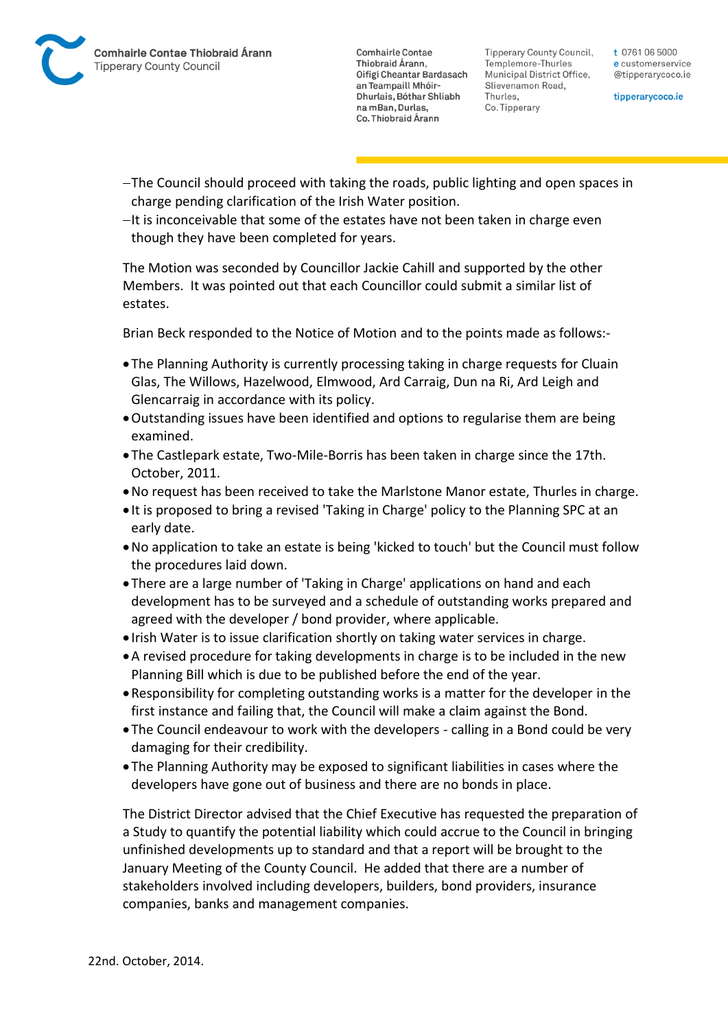Tipperary County Council. Templemore-Thurles Municipal District Office, Slievenamon Road, Thurles, Co. Tipperary

t 0761 06 5000 e customerservice @tipperarycoco.ie

tipperarycoco.ie

- The Council should proceed with taking the roads, public lighting and open spaces in charge pending clarification of the Irish Water position.
- $-I$ t is inconceivable that some of the estates have not been taken in charge even though they have been completed for years.

The Motion was seconded by Councillor Jackie Cahill and supported by the other Members. It was pointed out that each Councillor could submit a similar list of estates.

Brian Beck responded to the Notice of Motion and to the points made as follows:-

- The Planning Authority is currently processing taking in charge requests for Cluain Glas, The Willows, Hazelwood, Elmwood, Ard Carraig, Dun na Ri, Ard Leigh and Glencarraig in accordance with its policy.
- Outstanding issues have been identified and options to regularise them are being examined.
- The Castlepark estate, Two-Mile-Borris has been taken in charge since the 17th. October, 2011.
- No request has been received to take the Marlstone Manor estate, Thurles in charge.
- It is proposed to bring a revised 'Taking in Charge' policy to the Planning SPC at an early date.
- No application to take an estate is being 'kicked to touch' but the Council must follow the procedures laid down.
- There are a large number of 'Taking in Charge' applications on hand and each development has to be surveyed and a schedule of outstanding works prepared and agreed with the developer / bond provider, where applicable.
- Irish Water is to issue clarification shortly on taking water services in charge.
- A revised procedure for taking developments in charge is to be included in the new Planning Bill which is due to be published before the end of the year.
- Responsibility for completing outstanding works is a matter for the developer in the first instance and failing that, the Council will make a claim against the Bond.
- The Council endeavour to work with the developers calling in a Bond could be very damaging for their credibility.
- The Planning Authority may be exposed to significant liabilities in cases where the developers have gone out of business and there are no bonds in place.

The District Director advised that the Chief Executive has requested the preparation of a Study to quantify the potential liability which could accrue to the Council in bringing unfinished developments up to standard and that a report will be brought to the January Meeting of the County Council. He added that there are a number of stakeholders involved including developers, builders, bond providers, insurance companies, banks and management companies.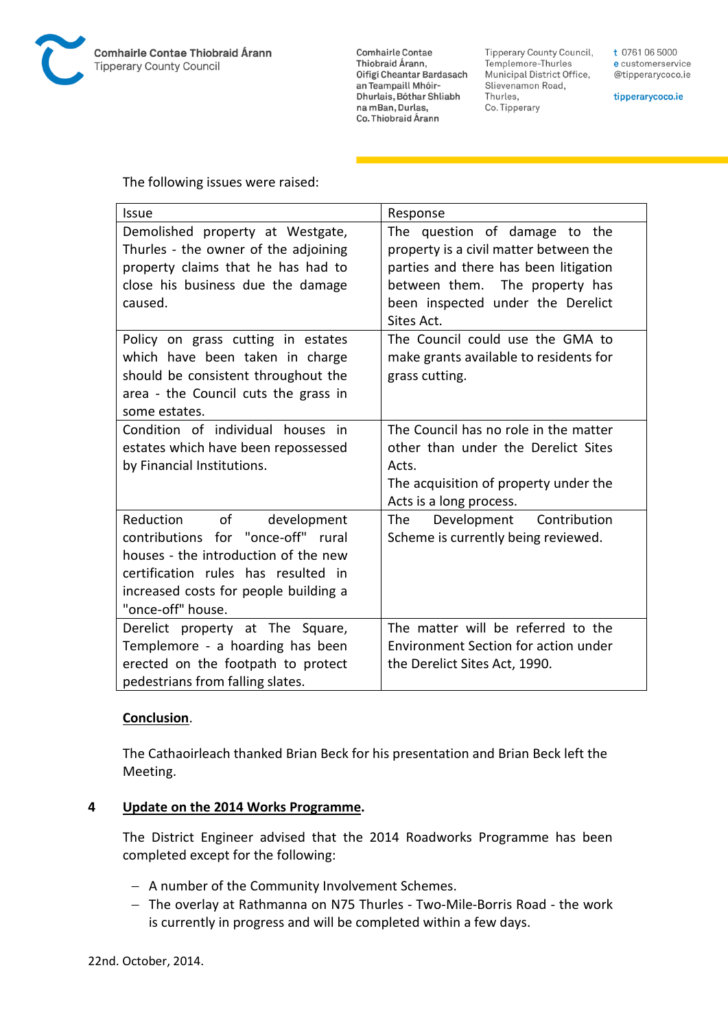

**Tipperary County Council,** Templemore-Thurles Municipal District Office, Slievenamon Road, Thurles, Co. Tipperary

t 0761 06 5000 e customerservice @tipperarycoco.ie

tipperarycoco.ie

The following issues were raised:

| Issue                                                                                                                                                                                                          | Response                                                                                                                                                                                              |
|----------------------------------------------------------------------------------------------------------------------------------------------------------------------------------------------------------------|-------------------------------------------------------------------------------------------------------------------------------------------------------------------------------------------------------|
| Demolished property at Westgate,<br>Thurles - the owner of the adjoining<br>property claims that he has had to<br>close his business due the damage<br>caused.                                                 | The question of damage to the<br>property is a civil matter between the<br>parties and there has been litigation<br>between them. The property has<br>been inspected under the Derelict<br>Sites Act. |
| Policy on grass cutting in estates<br>which have been taken in charge<br>should be consistent throughout the<br>area - the Council cuts the grass in<br>some estates.                                          | The Council could use the GMA to<br>make grants available to residents for<br>grass cutting.                                                                                                          |
| Condition of individual houses in<br>estates which have been repossessed<br>by Financial Institutions.                                                                                                         | The Council has no role in the matter<br>other than under the Derelict Sites<br>Acts.<br>The acquisition of property under the<br>Acts is a long process.                                             |
| Reduction of<br>development<br>contributions for "once-off" rural<br>houses - the introduction of the new<br>certification rules has resulted in<br>increased costs for people building a<br>"once-off" house. | Development Contribution<br>The<br>Scheme is currently being reviewed.                                                                                                                                |
| Derelict property at The Square,<br>Templemore - a hoarding has been<br>erected on the footpath to protect<br>pedestrians from falling slates.                                                                 | The matter will be referred to the<br>Environment Section for action under<br>the Derelict Sites Act, 1990.                                                                                           |

#### **Conclusion**.

The Cathaoirleach thanked Brian Beck for his presentation and Brian Beck left the Meeting.

### **4 Update on the 2014 Works Programme.**

The District Engineer advised that the 2014 Roadworks Programme has been completed except for the following:

- A number of the Community Involvement Schemes.
- The overlay at Rathmanna on N75 Thurles Two-Mile-Borris Road the work is currently in progress and will be completed within a few days.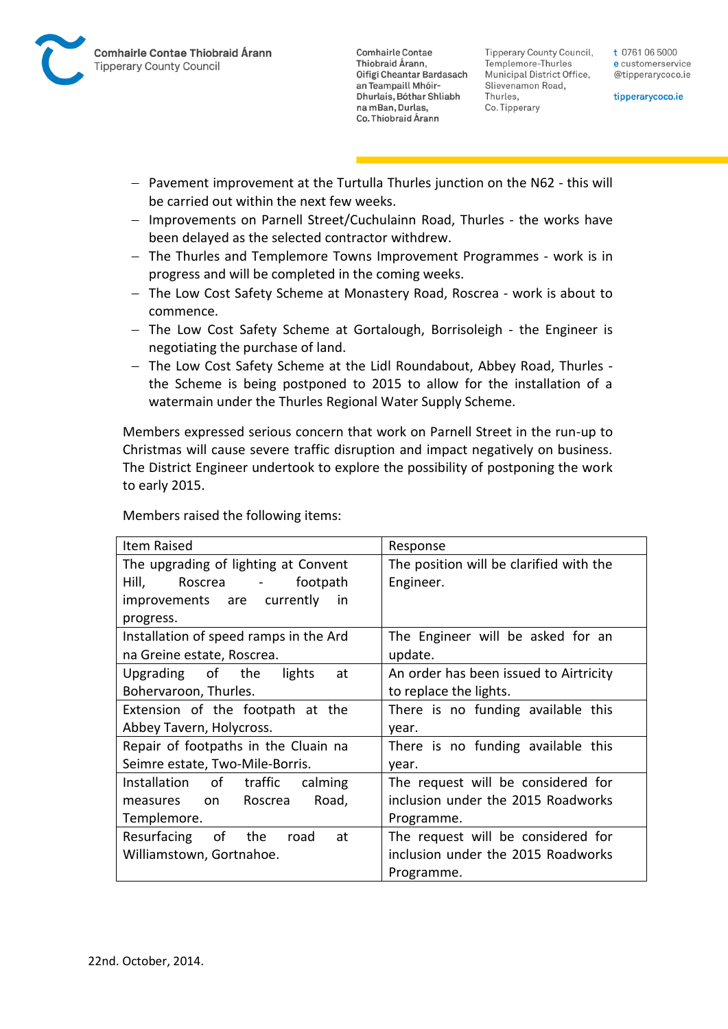

**Tipperary County Council,** Templemore-Thurles Municipal District Office, Slievenamon Road, Thurles, Co. Tipperary

t 0761 06 5000 e customerservice @tipperarycoco.ie

tipperarycoco.ie

- Pavement improvement at the Turtulla Thurles junction on the N62 this will be carried out within the next few weeks.
- Improvements on Parnell Street/Cuchulainn Road, Thurles the works have been delayed as the selected contractor withdrew.
- The Thurles and Templemore Towns Improvement Programmes work is in progress and will be completed in the coming weeks.
- The Low Cost Safety Scheme at Monastery Road, Roscrea work is about to commence.
- The Low Cost Safety Scheme at Gortalough, Borrisoleigh the Engineer is negotiating the purchase of land.
- The Low Cost Safety Scheme at the Lidl Roundabout, Abbey Road, Thurles the Scheme is being postponed to 2015 to allow for the installation of a watermain under the Thurles Regional Water Supply Scheme.

Members expressed serious concern that work on Parnell Street in the run-up to Christmas will cause severe traffic disruption and impact negatively on business. The District Engineer undertook to explore the possibility of postponing the work to early 2015.

Members raised the following items:

| Item Raised                            | Response                                |
|----------------------------------------|-----------------------------------------|
| The upgrading of lighting at Convent   | The position will be clarified with the |
| Hill, Theory<br>Roscrea -<br>footpath  | Engineer.                               |
| improvements are currently<br>in       |                                         |
| progress.                              |                                         |
| Installation of speed ramps in the Ard | The Engineer will be asked for an       |
| na Greine estate, Roscrea.             | update.                                 |
| Upgrading of the<br>lights<br>at       | An order has been issued to Airtricity  |
| Bohervaroon, Thurles.                  | to replace the lights.                  |
| Extension of the footpath at the       | There is no funding available this      |
| Abbey Tavern, Holycross.               | year.                                   |
| Repair of footpaths in the Cluain na   | There is no funding available this      |
| Seimre estate, Two-Mile-Borris.        | year.                                   |
| Installation of traffic<br>calming     | The request will be considered for      |
| Roscrea<br>Road,<br>measures on        | inclusion under the 2015 Roadworks      |
| Templemore.                            | Programme.                              |
| Resurfacing of the<br>road<br>at       | The request will be considered for      |
| Williamstown, Gortnahoe.               | inclusion under the 2015 Roadworks      |
|                                        | Programme.                              |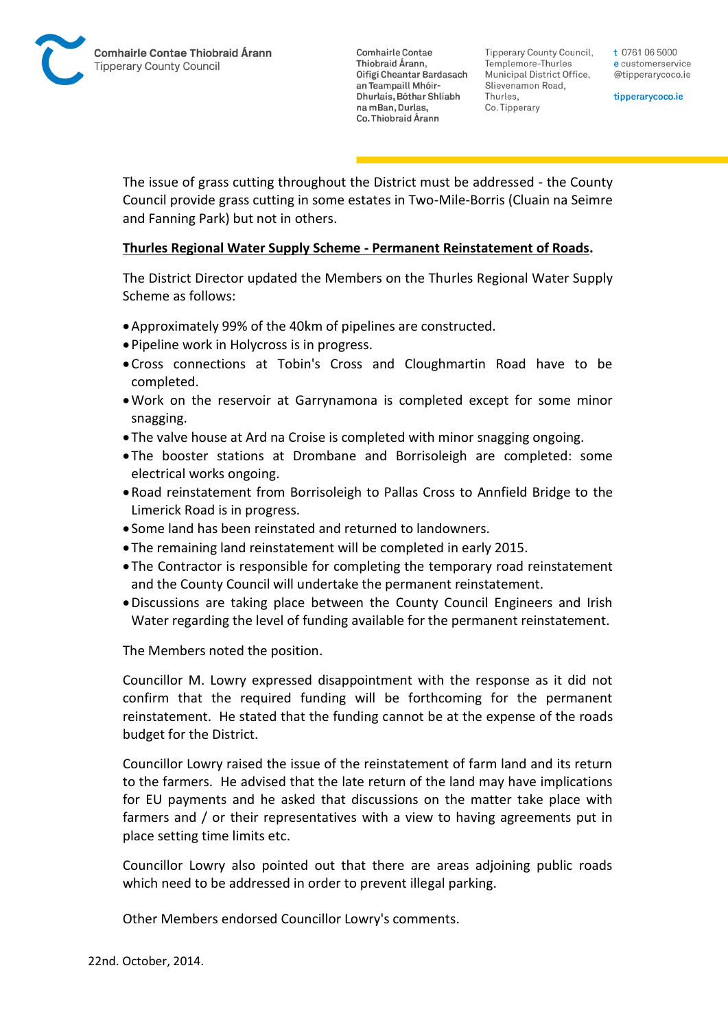Tipperary County Council. Templemore-Thurles Municipal District Office, Slievenamon Road, Thurles, Co. Tipperary

t 0761 06 5000 e customerservice @tipperarycoco.ie

tipperarycoco.ie

The issue of grass cutting throughout the District must be addressed - the County Council provide grass cutting in some estates in Two-Mile-Borris (Cluain na Seimre and Fanning Park) but not in others.

### **Thurles Regional Water Supply Scheme - Permanent Reinstatement of Roads.**

The District Director updated the Members on the Thurles Regional Water Supply Scheme as follows:

- Approximately 99% of the 40km of pipelines are constructed.
- Pipeline work in Holycross is in progress.
- Cross connections at Tobin's Cross and Cloughmartin Road have to be completed.
- Work on the reservoir at Garrynamona is completed except for some minor snagging.
- The valve house at Ard na Croise is completed with minor snagging ongoing.
- The booster stations at Drombane and Borrisoleigh are completed: some electrical works ongoing.
- Road reinstatement from Borrisoleigh to Pallas Cross to Annfield Bridge to the Limerick Road is in progress.
- Some land has been reinstated and returned to landowners.
- The remaining land reinstatement will be completed in early 2015.
- The Contractor is responsible for completing the temporary road reinstatement and the County Council will undertake the permanent reinstatement.
- Discussions are taking place between the County Council Engineers and Irish Water regarding the level of funding available for the permanent reinstatement.

The Members noted the position.

Councillor M. Lowry expressed disappointment with the response as it did not confirm that the required funding will be forthcoming for the permanent reinstatement. He stated that the funding cannot be at the expense of the roads budget for the District.

Councillor Lowry raised the issue of the reinstatement of farm land and its return to the farmers. He advised that the late return of the land may have implications for EU payments and he asked that discussions on the matter take place with farmers and / or their representatives with a view to having agreements put in place setting time limits etc.

Councillor Lowry also pointed out that there are areas adjoining public roads which need to be addressed in order to prevent illegal parking.

Other Members endorsed Councillor Lowry's comments.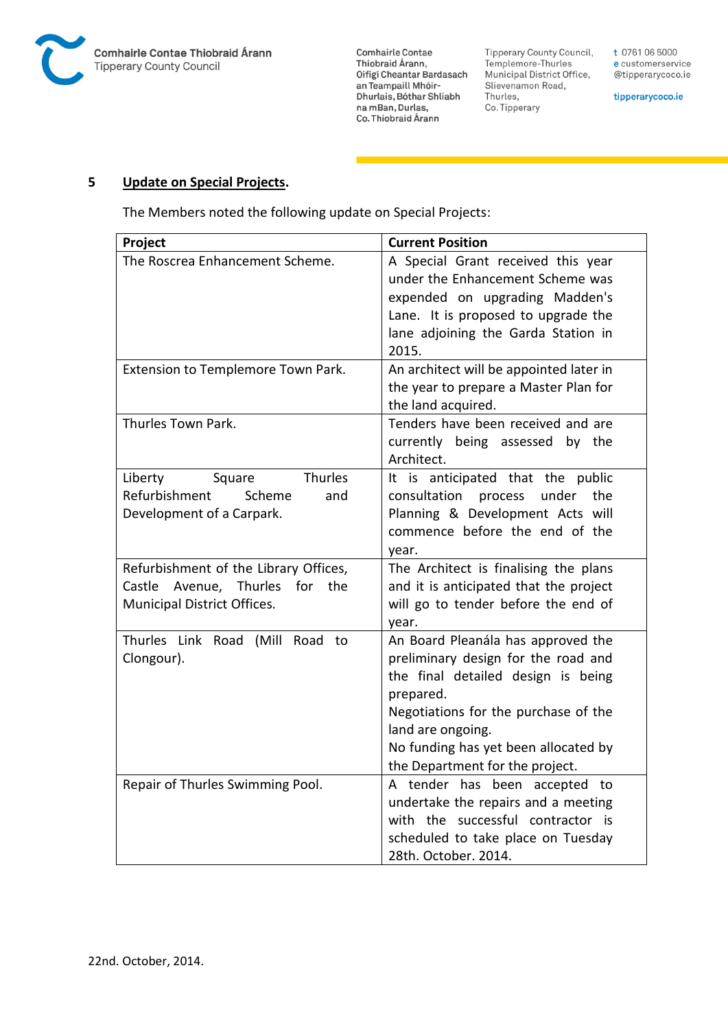

**Comhairle Contae** Commante Contae<br>Thiobraid Árann,<br>Oifigí Cheantar Bardasach an Teampaill Mhóir-Dhurlais, Bóthar Shliabh na mBan, Durlas,<br>Co. Thiobraid Árann

Tipperary County Council,<br>Templemore-Thurles Municipal District Office, Slievenamon Road, Thurles, Co. Tipperary

t 0761 06 5000 e customerservice @tipperarycoco.ie

tipperarycoco.ie

#### **5 Update on Special Projects.**

The Members noted the following update on Special Projects:

| Project                                                                                                            | <b>Current Position</b>                                                                                                                                                                                                                                              |
|--------------------------------------------------------------------------------------------------------------------|----------------------------------------------------------------------------------------------------------------------------------------------------------------------------------------------------------------------------------------------------------------------|
| The Roscrea Enhancement Scheme.                                                                                    | A Special Grant received this year<br>under the Enhancement Scheme was<br>expended on upgrading Madden's<br>Lane. It is proposed to upgrade the                                                                                                                      |
|                                                                                                                    | lane adjoining the Garda Station in<br>2015.                                                                                                                                                                                                                         |
| Extension to Templemore Town Park.                                                                                 | An architect will be appointed later in<br>the year to prepare a Master Plan for<br>the land acquired.                                                                                                                                                               |
| Thurles Town Park.                                                                                                 | Tenders have been received and are<br>currently being assessed by the<br>Architect.                                                                                                                                                                                  |
| Thurles<br>Liberty<br>Square<br>Refurbishment<br>Scheme<br>and<br>Development of a Carpark.                        | It is anticipated that the public<br>consultation<br>under<br>the<br>process<br>Planning & Development Acts will<br>commence before the end of the<br>year.                                                                                                          |
| Refurbishment of the Library Offices,<br>Castle<br>Avenue,<br>Thurles<br>for<br>the<br>Municipal District Offices. | The Architect is finalising the plans<br>and it is anticipated that the project<br>will go to tender before the end of<br>year.                                                                                                                                      |
| Thurles Link Road (Mill Road<br>- to<br>Clongour).                                                                 | An Board Pleanála has approved the<br>preliminary design for the road and<br>the final detailed design is being<br>prepared.<br>Negotiations for the purchase of the<br>land are ongoing.<br>No funding has yet been allocated by<br>the Department for the project. |
| Repair of Thurles Swimming Pool.                                                                                   | A tender has been accepted to<br>undertake the repairs and a meeting<br>with the successful contractor is<br>scheduled to take place on Tuesday<br>28th. October. 2014.                                                                                              |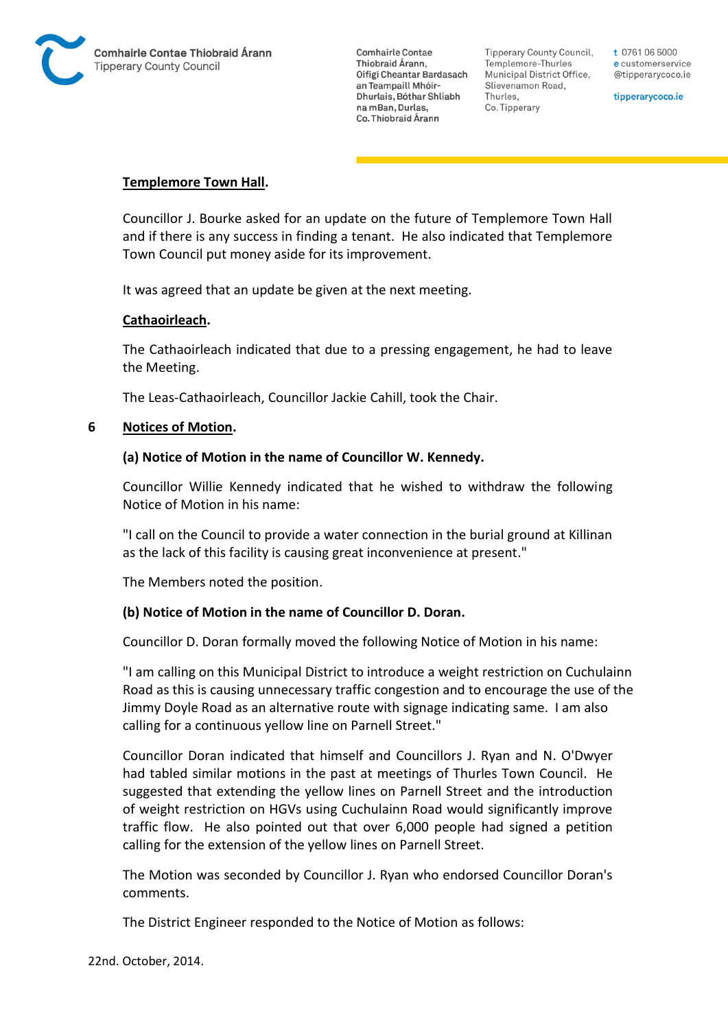

Tipperary County Council. Templemore-Thurles Municipal District Office, Slievenamon Road, Thurles, Co. Tipperary

t 0761 06 5000 e customerservice @tipperarycoco.ie

tipperarycoco.ie

#### **Templemore Town Hall.**

Councillor J. Bourke asked for an update on the future of Templemore Town Hall and if there is any success in finding a tenant. He also indicated that Templemore Town Council put money aside for its improvement.

It was agreed that an update be given at the next meeting.

### **Cathaoirleach.**

The Cathaoirleach indicated that due to a pressing engagement, he had to leave the Meeting.

The Leas-Cathaoirleach, Councillor Jackie Cahill, took the Chair.

#### **6 Notices of Motion.**

#### **(a) Notice of Motion in the name of Councillor W. Kennedy.**

Councillor Willie Kennedy indicated that he wished to withdraw the following Notice of Motion in his name:

"I call on the Council to provide a water connection in the burial ground at Killinan as the lack of this facility is causing great inconvenience at present."

The Members noted the position.

#### **(b) Notice of Motion in the name of Councillor D. Doran.**

Councillor D. Doran formally moved the following Notice of Motion in his name:

"I am calling on this Municipal District to introduce a weight restriction on Cuchulainn Road as this is causing unnecessary traffic congestion and to encourage the use of the Jimmy Doyle Road as an alternative route with signage indicating same. I am also calling for a continuous yellow line on Parnell Street."

Councillor Doran indicated that himself and Councillors J. Ryan and N. O'Dwyer had tabled similar motions in the past at meetings of Thurles Town Council. He suggested that extending the yellow lines on Parnell Street and the introduction of weight restriction on HGVs using Cuchulainn Road would significantly improve traffic flow. He also pointed out that over 6,000 people had signed a petition calling for the extension of the yellow lines on Parnell Street.

The Motion was seconded by Councillor J. Ryan who endorsed Councillor Doran's comments.

The District Engineer responded to the Notice of Motion as follows: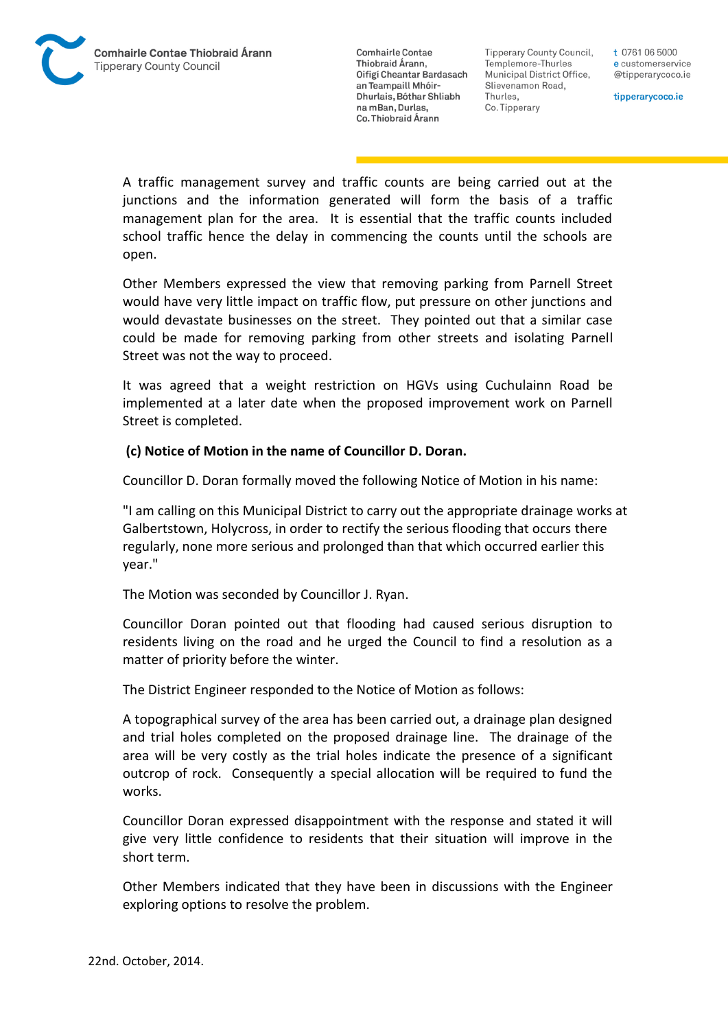Tipperary County Council. Templemore-Thurles Municipal District Office, Slievenamon Road, Thurles, Co. Tipperary

t 0761 06 5000 e customerservice @tipperarycoco.ie

tipperarycoco.ie

A traffic management survey and traffic counts are being carried out at the junctions and the information generated will form the basis of a traffic management plan for the area. It is essential that the traffic counts included school traffic hence the delay in commencing the counts until the schools are open.

Other Members expressed the view that removing parking from Parnell Street would have very little impact on traffic flow, put pressure on other junctions and would devastate businesses on the street. They pointed out that a similar case could be made for removing parking from other streets and isolating Parnell Street was not the way to proceed.

It was agreed that a weight restriction on HGVs using Cuchulainn Road be implemented at a later date when the proposed improvement work on Parnell Street is completed.

## **(c) Notice of Motion in the name of Councillor D. Doran.**

Councillor D. Doran formally moved the following Notice of Motion in his name:

"I am calling on this Municipal District to carry out the appropriate drainage works at Galbertstown, Holycross, in order to rectify the serious flooding that occurs there regularly, none more serious and prolonged than that which occurred earlier this year."

The Motion was seconded by Councillor J. Ryan.

Councillor Doran pointed out that flooding had caused serious disruption to residents living on the road and he urged the Council to find a resolution as a matter of priority before the winter.

The District Engineer responded to the Notice of Motion as follows:

A topographical survey of the area has been carried out, a drainage plan designed and trial holes completed on the proposed drainage line. The drainage of the area will be very costly as the trial holes indicate the presence of a significant outcrop of rock. Consequently a special allocation will be required to fund the works.

Councillor Doran expressed disappointment with the response and stated it will give very little confidence to residents that their situation will improve in the short term.

Other Members indicated that they have been in discussions with the Engineer exploring options to resolve the problem.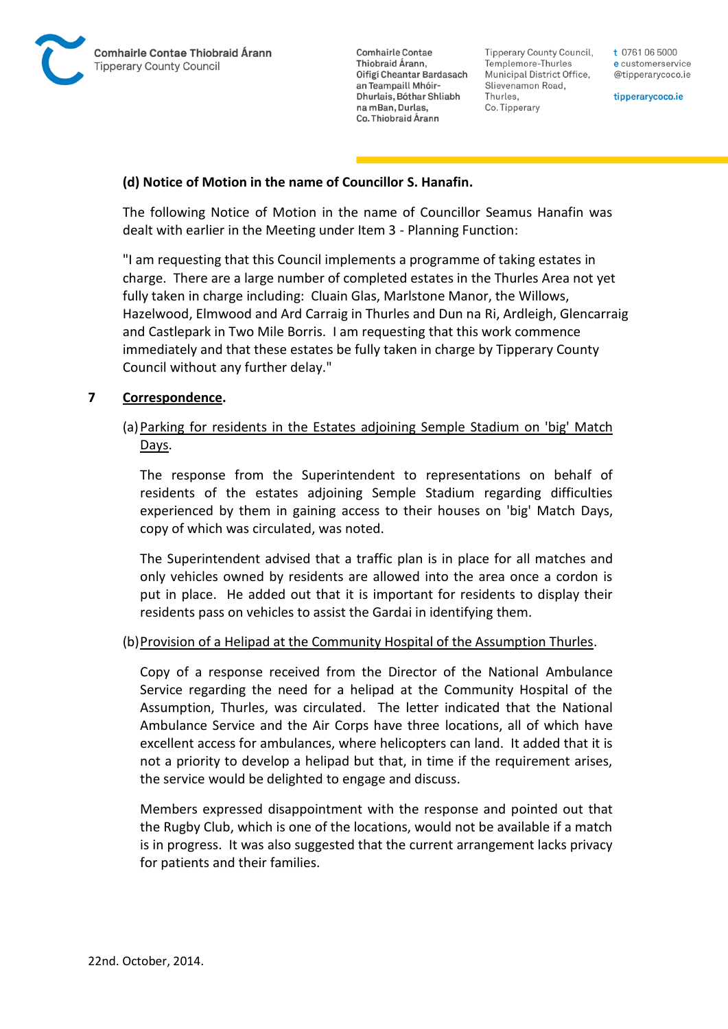

Tipperary County Council. Templemore-Thurles Municipal District Office, Slievenamon Road, Thurles, Co. Tipperary

t 0761 06 5000 e customerservice @tipperarycoco.ie

tipperarycoco.ie

### **(d) Notice of Motion in the name of Councillor S. Hanafin.**

The following Notice of Motion in the name of Councillor Seamus Hanafin was dealt with earlier in the Meeting under Item 3 - Planning Function:

"I am requesting that this Council implements a programme of taking estates in charge. There are a large number of completed estates in the Thurles Area not yet fully taken in charge including: Cluain Glas, Marlstone Manor, the Willows, Hazelwood, Elmwood and Ard Carraig in Thurles and Dun na Ri, Ardleigh, Glencarraig and Castlepark in Two Mile Borris. I am requesting that this work commence immediately and that these estates be fully taken in charge by Tipperary County Council without any further delay."

### **7 Correspondence.**

## (a)Parking for residents in the Estates adjoining Semple Stadium on 'big' Match Days.

The response from the Superintendent to representations on behalf of residents of the estates adjoining Semple Stadium regarding difficulties experienced by them in gaining access to their houses on 'big' Match Days, copy of which was circulated, was noted.

The Superintendent advised that a traffic plan is in place for all matches and only vehicles owned by residents are allowed into the area once a cordon is put in place. He added out that it is important for residents to display their residents pass on vehicles to assist the Gardai in identifying them.

#### (b)Provision of a Helipad at the Community Hospital of the Assumption Thurles.

Copy of a response received from the Director of the National Ambulance Service regarding the need for a helipad at the Community Hospital of the Assumption, Thurles, was circulated. The letter indicated that the National Ambulance Service and the Air Corps have three locations, all of which have excellent access for ambulances, where helicopters can land. It added that it is not a priority to develop a helipad but that, in time if the requirement arises, the service would be delighted to engage and discuss.

Members expressed disappointment with the response and pointed out that the Rugby Club, which is one of the locations, would not be available if a match is in progress. It was also suggested that the current arrangement lacks privacy for patients and their families.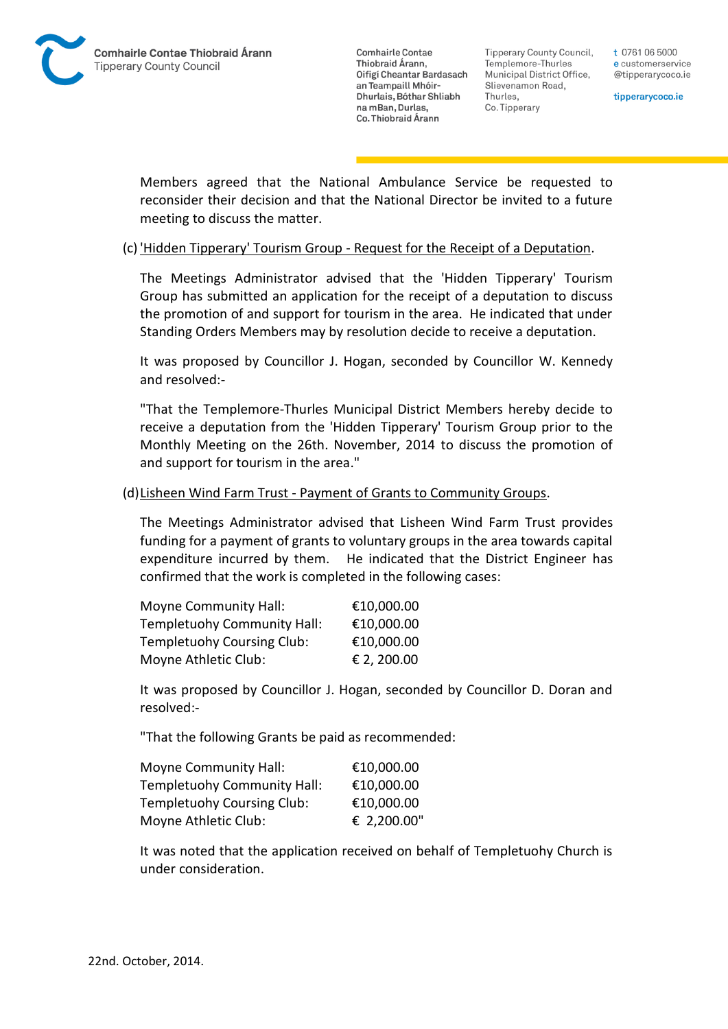

**Tipperary County Council,** Templemore-Thurles Municipal District Office, Slievenamon Road, Thurles, Co. Tipperary

t 0761 06 5000 e customerservice @tipperarycoco.ie

tipperarycoco.ie

Members agreed that the National Ambulance Service be requested to reconsider their decision and that the National Director be invited to a future meeting to discuss the matter.

#### (c) 'Hidden Tipperary' Tourism Group - Request for the Receipt of a Deputation.

The Meetings Administrator advised that the 'Hidden Tipperary' Tourism Group has submitted an application for the receipt of a deputation to discuss the promotion of and support for tourism in the area. He indicated that under Standing Orders Members may by resolution decide to receive a deputation.

It was proposed by Councillor J. Hogan, seconded by Councillor W. Kennedy and resolved:-

"That the Templemore-Thurles Municipal District Members hereby decide to receive a deputation from the 'Hidden Tipperary' Tourism Group prior to the Monthly Meeting on the 26th. November, 2014 to discuss the promotion of and support for tourism in the area."

#### (d)Lisheen Wind Farm Trust - Payment of Grants to Community Groups.

The Meetings Administrator advised that Lisheen Wind Farm Trust provides funding for a payment of grants to voluntary groups in the area towards capital expenditure incurred by them. He indicated that the District Engineer has confirmed that the work is completed in the following cases:

| <b>Moyne Community Hall:</b> | €10,000.00  |
|------------------------------|-------------|
| Templetuohy Community Hall:  | €10,000.00  |
| Templetuohy Coursing Club:   | €10,000.00  |
| Moyne Athletic Club:         | € 2, 200.00 |

It was proposed by Councillor J. Hogan, seconded by Councillor D. Doran and resolved:-

"That the following Grants be paid as recommended:

| <b>Moyne Community Hall:</b> | €10,000.00  |
|------------------------------|-------------|
| Templetuohy Community Hall:  | €10,000.00  |
| Templetuohy Coursing Club:   | €10,000.00  |
| Moyne Athletic Club:         | € 2,200.00" |

It was noted that the application received on behalf of Templetuohy Church is under consideration.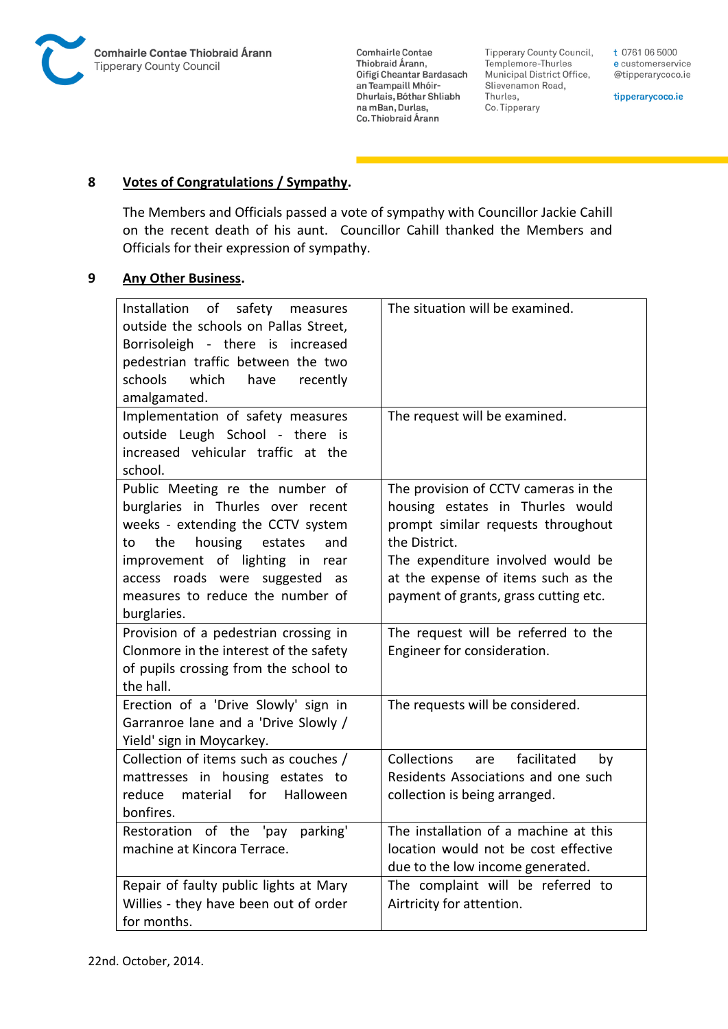

**Tipperary County Council,** Templemore-Thurles Municipal District Office, Slievenamon Road, Thurles, Co. Tipperary

t 0761 06 5000 e customerservice @tipperarycoco.ie

tipperarycoco.ie

## **8 Votes of Congratulations / Sympathy.**

The Members and Officials passed a vote of sympathy with Councillor Jackie Cahill on the recent death of his aunt. Councillor Cahill thanked the Members and Officials for their expression of sympathy.

### **9 Any Other Business.**

| Installation of safety measures<br>outside the schools on Pallas Street,<br>Borrisoleigh - there is increased<br>pedestrian traffic between the two<br>schools<br>which<br>have<br>recently<br>amalgamated.<br>Implementation of safety measures<br>outside Leugh School - there is<br>increased vehicular traffic at the | The situation will be examined.<br>The request will be examined.                                                                                                                                                                                     |
|---------------------------------------------------------------------------------------------------------------------------------------------------------------------------------------------------------------------------------------------------------------------------------------------------------------------------|------------------------------------------------------------------------------------------------------------------------------------------------------------------------------------------------------------------------------------------------------|
| school.                                                                                                                                                                                                                                                                                                                   |                                                                                                                                                                                                                                                      |
| Public Meeting re the number of<br>burglaries in Thurles over recent<br>weeks - extending the CCTV system<br>housing<br>the<br>estates<br>and<br>to<br>improvement of lighting in rear<br>access roads were suggested as<br>measures to reduce the number of<br>burglaries.                                               | The provision of CCTV cameras in the<br>housing estates in Thurles would<br>prompt similar requests throughout<br>the District.<br>The expenditure involved would be<br>at the expense of items such as the<br>payment of grants, grass cutting etc. |
| Provision of a pedestrian crossing in<br>Clonmore in the interest of the safety<br>of pupils crossing from the school to<br>the hall.                                                                                                                                                                                     | The request will be referred to the<br>Engineer for consideration.                                                                                                                                                                                   |
| Erection of a 'Drive Slowly' sign in<br>Garranroe lane and a 'Drive Slowly /<br>Yield' sign in Moycarkey.                                                                                                                                                                                                                 | The requests will be considered.                                                                                                                                                                                                                     |
| Collection of items such as couches /<br>mattresses in housing estates to<br>reduce<br>material for Halloween<br>bonfires.                                                                                                                                                                                                | Collections<br>facilitated<br>are<br>by<br>Residents Associations and one such<br>collection is being arranged.                                                                                                                                      |
| Restoration of the 'pay<br>parking'<br>machine at Kincora Terrace.                                                                                                                                                                                                                                                        | The installation of a machine at this<br>location would not be cost effective<br>due to the low income generated.                                                                                                                                    |
| Repair of faulty public lights at Mary<br>Willies - they have been out of order<br>for months.                                                                                                                                                                                                                            | The complaint will be referred to<br>Airtricity for attention.                                                                                                                                                                                       |